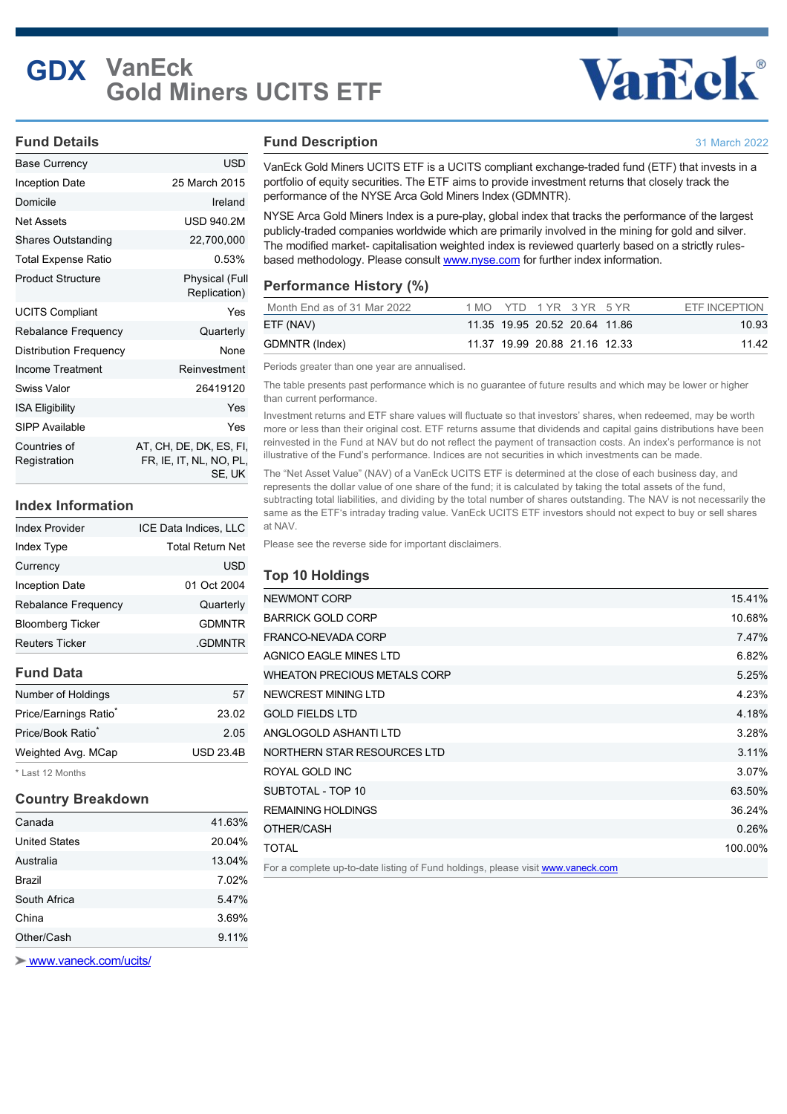## **GDX VanEck Gold Miners UCITS ETF**

## **Vancek®**

31 March 2022

#### **Fund Details**

| <b>Base Currency</b>         | USD                                                          |
|------------------------------|--------------------------------------------------------------|
| Inception Date               | 25 March 2015                                                |
| Domicile                     | Ireland                                                      |
| Net Assets                   | <b>USD 940.2M</b>                                            |
| Shares Outstanding           | 22,700,000                                                   |
| Total Expense Ratio          | 0.53%                                                        |
| <b>Product Structure</b>     | Physical (Full<br>Replication)                               |
| <b>UCITS Compliant</b>       | Yes                                                          |
| Rebalance Frequency          | Quarterly                                                    |
| Distribution Frequency       | None                                                         |
| Income Treatment             | Reinvestment                                                 |
| <b>Swiss Valor</b>           | 26419120                                                     |
| <b>ISA Eligibility</b>       | Yes                                                          |
| SIPP Available               | Yes                                                          |
| Countries of<br>Registration | AT, CH, DE, DK, ES, FI,<br>FR, IE, IT, NL, NO, PL,<br>SE, UK |

#### **Index Information**

| <b>Index Provider</b>      | ICE Data Indices, LLC   |
|----------------------------|-------------------------|
| <b>Index Type</b>          | <b>Total Return Net</b> |
| Currency                   | <b>USD</b>              |
| <b>Inception Date</b>      | 01 Oct 2004             |
| <b>Rebalance Frequency</b> | Quarterly               |
| <b>Bloomberg Ticker</b>    | <b>GDMNTR</b>           |
| <b>Reuters Ticker</b>      | <b>GDMNTR</b>           |

#### **Fund Data**

| Number of Holdings                | 57               |
|-----------------------------------|------------------|
| Price/Earnings Ratio <sup>*</sup> | 23.02            |
| Price/Book Ratio <sup>*</sup>     | 2.05             |
| Weighted Avg. MCap                | <b>USD 23.4B</b> |
|                                   |                  |

\* Last 12 Months

#### **Country Breakdown**

| Canada               | 41.63% |
|----------------------|--------|
| <b>United States</b> | 20.04% |
| Australia            | 13.04% |
| <b>Brazil</b>        | 7.02%  |
| South Africa         | 5.47%  |
| China                | 3.69%  |
| Other/Cash           | 9.11%  |

**Fund Description**

VanEck Gold Miners UCITS ETF is a UCITS compliant exchange-traded fund (ETF) that invests in a portfolio of equity securities. The ETF aims to provide investment returns that closely track the performance of the NYSE Arca Gold Miners Index (GDMNTR).

NYSE Arca Gold Miners Index is a pure-play, global index that tracks the performance of the largest publicly-traded companies worldwide which are primarily involved in the mining for gold and silver. The modified market- capitalisation weighted index is reviewed quarterly based on a strictly rulesbased methodology. Please consult [www.nyse.com](http://www.nyse.com) for further index information.

### **Performance History (%)**

| Month End as of 31 Mar 2022 |  | 1 MO YTD 1 YR 3 YR 5 YR       |  | ETF INCEPTION |
|-----------------------------|--|-------------------------------|--|---------------|
| ETF (NAV)                   |  | 11.35 19.95 20.52 20.64 11.86 |  | 10.93         |
| GDMNTR (Index)              |  | 11.37 19.99 20.88 21.16 12.33 |  | 11 42         |

Periods greater than one year are annualised.

The table presents past performance which is no guarantee of future results and which may be lower or higher than current performance.

Investment returns and ETF share values will fluctuate so that investors' shares, when redeemed, may be worth more or less than their original cost. ETF returns assume that dividends and capital gains distributions have been reinvested in the Fund at NAV but do not reflect the payment of transaction costs. An index's performance is not illustrative of the Fund's performance. Indices are not securities in which investments can be made.

The "Net Asset Value" (NAV) of a VanEck UCITS ETF is determined at the close of each business day, and represents the dollar value of one share of the fund; it is calculated by taking the total assets of the fund, subtracting total liabilities, and dividing by the total number of shares outstanding. The NAV is not necessarily the same as the ETF's intraday trading value. VanEck UCITS ETF investors should not expect to buy or sell shares at NAV.

Please see the reverse side for important disclaimers.

#### **Top 10 Holdings**

| NEWMONT CORP                                                                    | 15.41%  |
|---------------------------------------------------------------------------------|---------|
| <b>BARRICK GOLD CORP</b>                                                        | 10.68%  |
| FRANCO-NEVADA CORP                                                              | 7.47%   |
| <b>AGNICO EAGLE MINES LTD</b>                                                   | 6.82%   |
| <b>WHEATON PRECIOUS METALS CORP</b>                                             | 5.25%   |
| NEWCREST MINING LTD                                                             | 4.23%   |
| <b>GOLD FIELDS LTD</b>                                                          | 4.18%   |
| ANGLOGOLD ASHANTI LTD                                                           | 3.28%   |
| NORTHERN STAR RESOURCES LTD                                                     | 3.11%   |
| ROYAL GOLD INC                                                                  | 3.07%   |
| SUBTOTAL - TOP 10                                                               | 63.50%  |
| <b>REMAINING HOLDINGS</b>                                                       | 36.24%  |
| OTHER/CASH                                                                      | 0.26%   |
| <b>TOTAL</b>                                                                    | 100.00% |
| For a complete up-to-date listing of Fund holdings, please visit www.vaneck.com |         |

 [www.vaneck.com/ucits/](http://www.vaneck.com/ucits/)